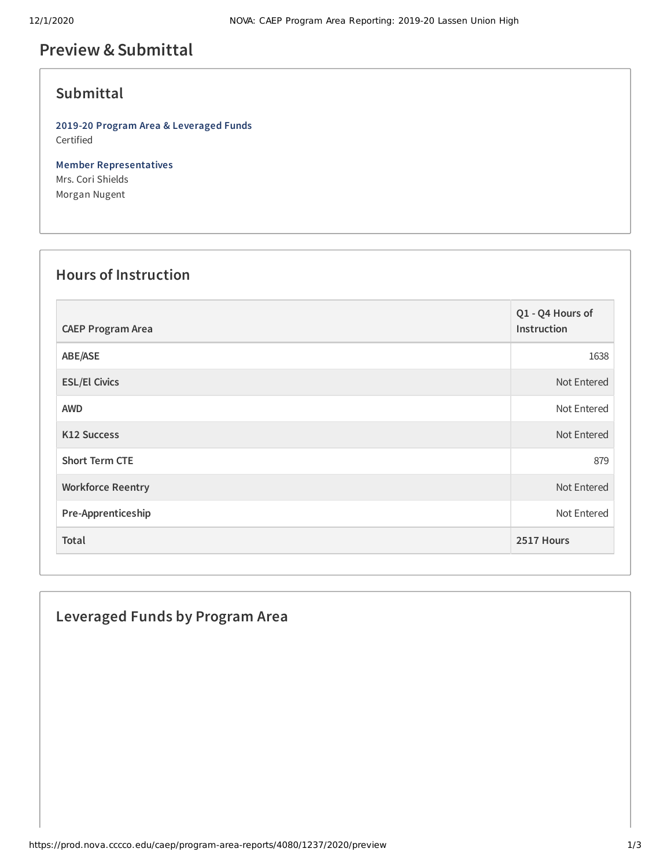## **Preview &Submittal**

### **Submittal**

**2019-20 Program Area & Leveraged Funds** Certified

**Member Representatives** Mrs. Cori Shields Morgan Nugent

### **Hours of Instruction**

| <b>CAEP Program Area</b> | Q1 - Q4 Hours of<br>Instruction |
|--------------------------|---------------------------------|
| ABE/ASE                  | 1638                            |
| <b>ESL/El Civics</b>     | Not Entered                     |
| <b>AWD</b>               | Not Entered                     |
| <b>K12 Success</b>       | Not Entered                     |
| <b>Short Term CTE</b>    | 879                             |
| <b>Workforce Reentry</b> | Not Entered                     |
| Pre-Apprenticeship       | Not Entered                     |
| Total                    | 2517 Hours                      |

# **Leveraged Funds by Program Area**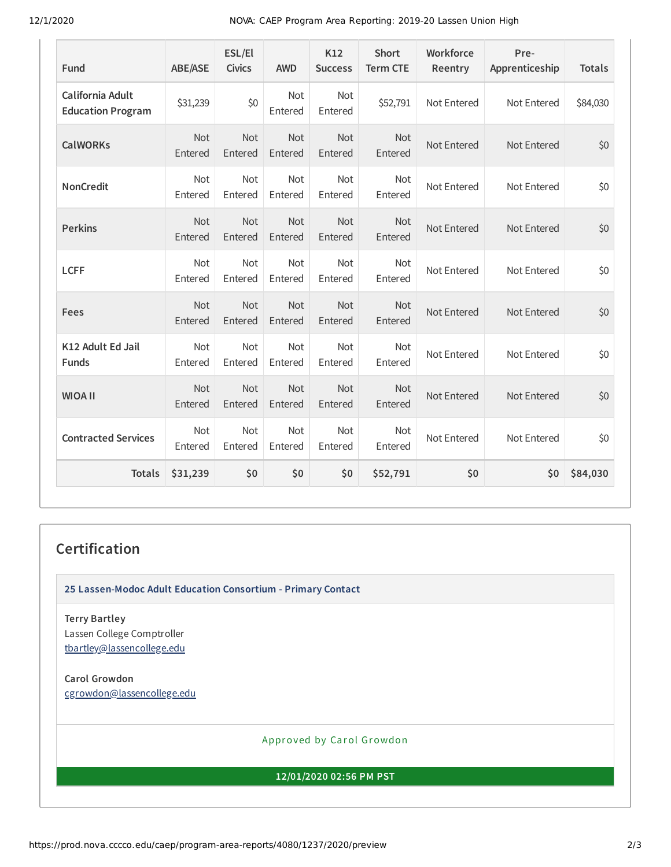12/1/2020 NOVA: CAEP Program Area Reporting: 2019-20 Lassen Union High

| Fund                                         | <b>ABE/ASE</b>        | ESL/El<br><b>Civics</b> | <b>AWD</b>            | K12<br><b>Success</b> | <b>Short</b><br><b>Term CTE</b> | Workforce<br>Reentry | Pre-<br>Apprenticeship | <b>Totals</b> |
|----------------------------------------------|-----------------------|-------------------------|-----------------------|-----------------------|---------------------------------|----------------------|------------------------|---------------|
| California Adult<br><b>Education Program</b> | \$31,239              | \$0                     | Not<br>Entered        | Not<br>Entered        | \$52,791                        | Not Entered          | Not Entered            | \$84,030      |
| <b>CalWORKs</b>                              | Not<br>Entered        | Not<br>Entered          | Not<br>Entered        | Not<br>Entered        | Not<br>Entered                  | Not Entered          | Not Entered            | \$0           |
| <b>NonCredit</b>                             | Not<br>Entered        | Not<br>Entered          | Not<br>Entered        | Not<br>Entered        | Not<br>Entered                  | Not Entered          | Not Entered            | \$0           |
| <b>Perkins</b>                               | <b>Not</b><br>Entered | <b>Not</b><br>Entered   | <b>Not</b><br>Entered | Not<br>Entered        | <b>Not</b><br>Entered           | Not Entered          | Not Entered            | \$0           |
| <b>LCFF</b>                                  | <b>Not</b><br>Entered | <b>Not</b><br>Entered   | <b>Not</b><br>Entered | <b>Not</b><br>Entered | <b>Not</b><br>Entered           | Not Entered          | Not Entered            | \$0           |
| Fees                                         | Not<br>Entered        | <b>Not</b><br>Entered   | <b>Not</b><br>Entered | Not<br>Entered        | <b>Not</b><br>Entered           | Not Entered          | Not Entered            | \$0           |
| K12 Adult Ed Jail<br><b>Funds</b>            | Not<br>Entered        | Not<br>Entered          | Not<br>Entered        | Not<br>Entered        | <b>Not</b><br>Entered           | Not Entered          | Not Entered            | \$0           |
| <b>WIOA II</b>                               | Not<br>Entered        | Not<br>Entered          | Not<br>Entered        | Not<br>Entered        | Not<br>Entered                  | Not Entered          | Not Entered            | \$0           |
| <b>Contracted Services</b>                   | Not<br>Entered        | Not<br>Entered          | Not<br>Entered        | Not<br>Entered        | <b>Not</b><br>Entered           | Not Entered          | Not Entered            | \$0           |
| <b>Totals</b>                                | \$31,239              | \$0                     | \$0                   | \$0                   | \$52,791                        | \$0                  | \$0                    | \$84,030      |

#### **Certification**

**25 Lassen-Modoc Adult Education Consortium - Primary Contact**

**Terry Bartley** Lassen College Comptroller [tbartley@lassencollege.edu](mailto:tbartley@lassencollege.edu)

**Carol Growdon** [cgrowdon@lassencollege.edu](mailto:cgrowdon@lassencollege.edu)

Approved by Carol Growdon

**12/01/2020 02:56 PM PST**